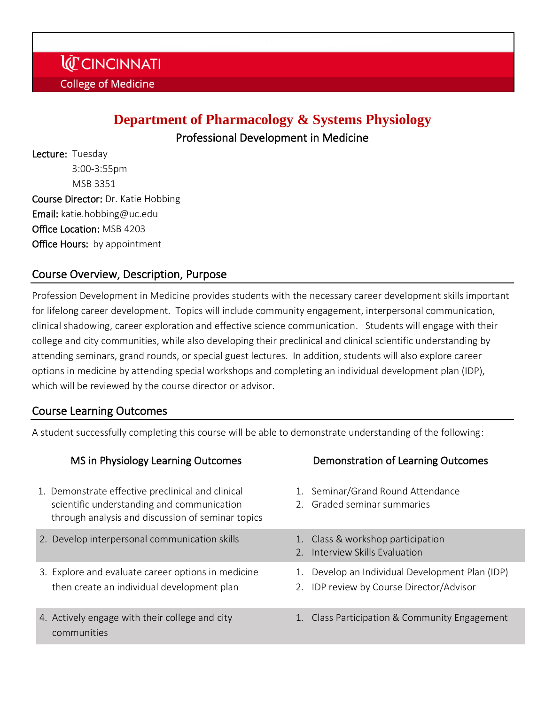# **Department of Pharmacology & Systems Physiology**

Professional Development in Medicine

Lecture: Tuesday 3:00-3:55pm MSB 3351 Course Director: Dr. Katie Hobbing Email: katie.hobbing@uc.edu Office Location: MSB 4203 **Office Hours:** by appointment

# Course Overview, Description, Purpose

Profession Development in Medicine provides students with the necessary career development skills important for lifelong career development. Topics will include community engagement, interpersonal communication, clinical shadowing, career exploration and effective science communication. Students will engage with their college and city communities, while also developing their preclinical and clinical scientific understanding by attending seminars, grand rounds, or special guest lectures. In addition, students will also explore career options in medicine by attending special workshops and completing an individual development plan (IDP), which will be reviewed by the course director or advisor.

### Course Learning Outcomes

A student successfully completing this course will be able to demonstrate understanding of the following:

| MS in Physiology Learning Outcomes                                                                                                                   | Demonstration of Learning Outcomes                                                          |
|------------------------------------------------------------------------------------------------------------------------------------------------------|---------------------------------------------------------------------------------------------|
| 1. Demonstrate effective preclinical and clinical<br>scientific understanding and communication<br>through analysis and discussion of seminar topics | 1. Seminar/Grand Round Attendance<br>2. Graded seminar summaries                            |
| 2. Develop interpersonal communication skills                                                                                                        | 1. Class & workshop participation<br>2. Interview Skills Evaluation                         |
| 3. Explore and evaluate career options in medicine<br>then create an individual development plan                                                     | 1. Develop an Individual Development Plan (IDP)<br>2. IDP review by Course Director/Advisor |
| 4. Actively engage with their college and city<br>communities                                                                                        | 1. Class Participation & Community Engagement                                               |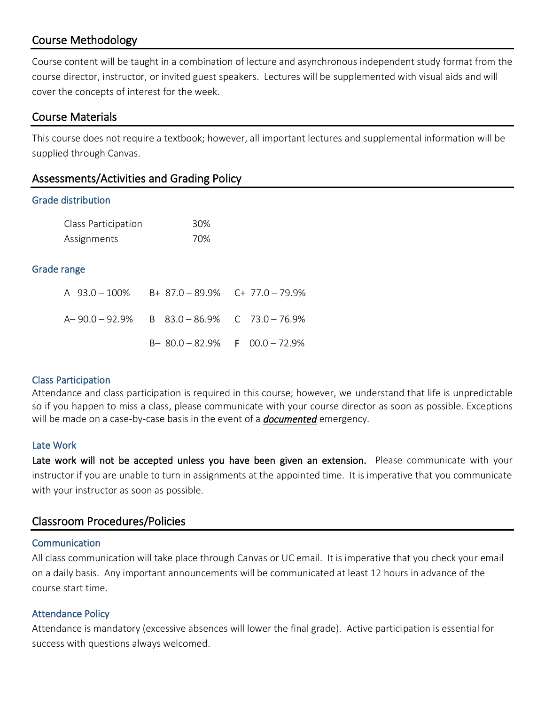## Course Methodology

Course content will be taught in a combination of lecture and asynchronous independent study format from the course director, instructor, or invited guest speakers. Lectures will be supplemented with visual aids and will cover the concepts of interest for the week.

### Course Materials

This course does not require a textbook; however, all important lectures and supplemental information will be supplied through Canvas.

| Assessments/Activities and Grading Policy |  |  |
|-------------------------------------------|--|--|
|-------------------------------------------|--|--|

#### Grade distribution

| Class Participation | 30% |
|---------------------|-----|
| Assignments         | 70% |

#### Grade range

| A 93.0 - 100% B+ 87.0 - 89.9% C+ 77.0 - 79.9%   |                               |
|-------------------------------------------------|-------------------------------|
| $A-90.0-92.9\%$ B $83.0-86.9\%$ C $73.0-76.9\%$ |                               |
|                                                 | $B-80.0-82.9%$ F 00.0 - 72.9% |

#### Class Participation

Attendance and class participation is required in this course; however, we understand that life is unpredictable so if you happen to miss a class, please communicate with your course director as soon as possible. Exceptions will be made on a case-by-case basis in the event of a *documented* emergency.

#### Late Work

Late work will not be accepted unless you have been given an extension. Please communicate with your instructor if you are unable to turn in assignments at the appointed time. It is imperative that you communicate with your instructor as soon as possible.

### Classroom Procedures/Policies

#### **Communication**

All class communication will take place through Canvas or UC email. It is imperative that you check your email on a daily basis. Any important announcements will be communicated at least 12 hours in advance of the course start time.

#### Attendance Policy

Attendance is mandatory (excessive absences will lower the final grade). Active participation is essential for success with questions always welcomed.